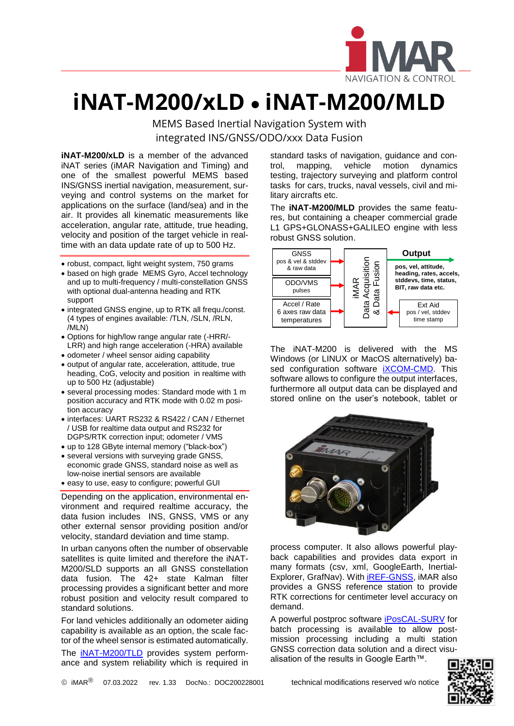

## **iNAT-M200/xLD** • **iNAT-M200/MLD**

MEMS Based Inertial Navigation System with integrated INS/GNSS/ODO/xxx Data Fusion

**iNAT-M200/xLD** is a member of the advanced iNAT series (iMAR Navigation and Timing) and one of the smallest powerful MEMS based INS/GNSS inertial navigation, measurement, surveying and control systems on the market for applications on the surface (land/sea) and in the air. It provides all kinematic measurements like acceleration, angular rate, attitude, true heading, velocity and position of the target vehicle in realtime with an data update rate of up to 500 Hz.

- robust, compact, light weight system, 750 grams
- based on high grade MEMS Gyro, Accel technology and up to multi-frequency / multi-constellation GNSS with optional dual-antenna heading and RTK support
- integrated GNSS engine, up to RTK all frequ./const. (4 types of engines available: /TLN, /SLN, /RLN, /MLN)
- Options for high/low range angular rate (-HRR/- LRR) and high range acceleration (-HRA) available
- odometer / wheel sensor aiding capability
- output of angular rate, acceleration, attitude, true heading, CoG, velocity and position in realtime with up to 500 Hz (adjustable)
- several processing modes: Standard mode with 1 m position accuracy and RTK mode with 0.02 m position accuracy
- interfaces: UART RS232 & RS422 / CAN / Ethernet / USB for realtime data output and RS232 for DGPS/RTK correction input; odometer / VMS
- up to 128 GByte internal memory ("black-box")
- several versions with surveying grade GNSS, economic grade GNSS, standard noise as well as low-noise inertial sensors are available
- easy to use, easy to configure; powerful GUI

Depending on the application, environmental environment and required realtime accuracy, the data fusion includes INS, GNSS, VMS or any other external sensor providing position and/or velocity, standard deviation and time stamp.

In urban canyons often the number of observable satellites is quite limited and therefore the iNAT-M200/SLD supports an all GNSS constellation data fusion. The 42+ state Kalman filter processing provides a significant better and more robust position and velocity result compared to standard solutions.

For land vehicles additionally an odometer aiding capability is available as an option, the scale factor of the wheel sensor is estimated automatically.

The **[iNAT-M200/TLD](https://www.imar-navigation.de/en/products/by-product-names/item/inat-m200-advanced-mems-based-navigation-surveying-control-system)** provides system performance and system reliability which is required in standard tasks of navigation, guidance and con-<br>trol, mapping, vehicle motion dynamics trol, mapping, vehicle motion dynamics testing, trajectory surveying and platform control tasks for cars, trucks, naval vessels, civil and military aircrafts etc.

L

The **iNAT-M200/MLD** provides the same features, but containing a cheaper commercial grade L1 GPS+GLONASS+GALILEO engine with less robust GNSS solution.



The iNAT-M200 is delivered with the MS Windows (or LINUX or MacOS alternatively) based configuration software **iXCOM-CMD**. This software allows to configure the output interfaces, furthermore all output data can be displayed and stored online on the user's notebook, tablet or



process computer. It also allows powerful playback capabilities and provides data export in many formats (csv, xml, GoogleEarth, Inertial-Explorer, GrafNav). With **IREF-GNSS**, IMAR also provides a GNSS reference station to provide RTK corrections for centimeter level accuracy on demand.

A powerful postproc software [iPosCAL-SURV](https://www.imar-navigation.de/de/produkte-uebersicht/product-overview-by-product/item/iposcal-post-processing-software-for-ins-gnss-odo-data?category_id=292) for batch processing is available to allow postmission processing including a multi station GNSS correction data solution and a direct visualisation of the results in Google Earth™.